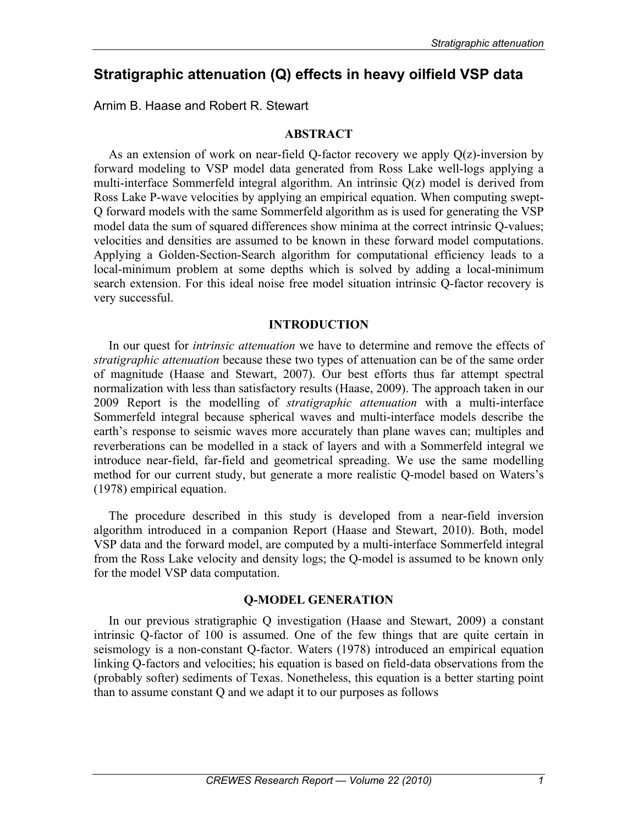# **Stratigraphic attenuation (Q) effects in heavy oilfield VSP data**

Arnim B. Haase and Robert R. Stewart

# **ABSTRACT**

As an extension of work on near-field Q-factor recovery we apply Q(z)-inversion by forward modeling to VSP model data generated from Ross Lake well-logs applying a multi-interface Sommerfeld integral algorithm. An intrinsic Q(z) model is derived from Ross Lake P-wave velocities by applying an empirical equation. When computing swept-Q forward models with the same Sommerfeld algorithm as is used for generating the VSP model data the sum of squared differences show minima at the correct intrinsic Q-values; velocities and densities are assumed to be known in these forward model computations. Applying a Golden-Section-Search algorithm for computational efficiency leads to a local-minimum problem at some depths which is solved by adding a local-minimum search extension. For this ideal noise free model situation intrinsic Q-factor recovery is very successful.

## **INTRODUCTION**

In our quest for *intrinsic attenuation* we have to determine and remove the effects of *stratigraphic attenuation* because these two types of attenuation can be of the same order of magnitude (Haase and Stewart, 2007). Our best efforts thus far attempt spectral normalization with less than satisfactory results (Haase, 2009). The approach taken in our 2009 Report is the modelling of *stratigraphic attenuation* with a multi-interface Sommerfeld integral because spherical waves and multi-interface models describe the earth's response to seismic waves more accurately than plane waves can; multiples and reverberations can be modelled in a stack of layers and with a Sommerfeld integral we introduce near-field, far-field and geometrical spreading. We use the same modelling method for our current study, but generate a more realistic Q-model based on Waters's (1978) empirical equation.

The procedure described in this study is developed from a near-field inversion algorithm introduced in a companion Report (Haase and Stewart, 2010). Both, model VSP data and the forward model, are computed by a multi-interface Sommerfeld integral from the Ross Lake velocity and density logs; the Q-model is assumed to be known only for the model VSP data computation.

## **Q-MODEL GENERATION**

In our previous stratigraphic Q investigation (Haase and Stewart, 2009) a constant intrinsic Q-factor of 100 is assumed. One of the few things that are quite certain in seismology is a non-constant Q-factor. Waters (1978) introduced an empirical equation linking Q-factors and velocities; his equation is based on field-data observations from the (probably softer) sediments of Texas. Nonetheless, this equation is a better starting point than to assume constant Q and we adapt it to our purposes as follows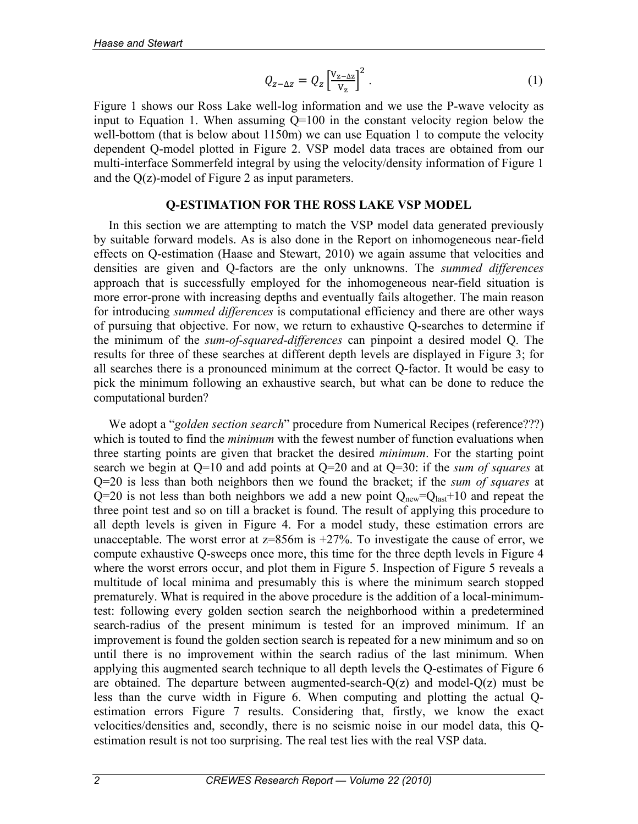$$
Q_{z-\Delta z} = Q_z \left[\frac{V_{z-\Delta z}}{V_z}\right]^2.
$$
 (1)

Figure 1 shows our Ross Lake well-log information and we use the P-wave velocity as input to Equation 1. When assuming Q=100 in the constant velocity region below the well-bottom (that is below about 1150m) we can use Equation 1 to compute the velocity dependent Q-model plotted in Figure 2. VSP model data traces are obtained from our multi-interface Sommerfeld integral by using the velocity/density information of Figure 1 and the Q(z)-model of Figure 2 as input parameters.

## **Q-ESTIMATION FOR THE ROSS LAKE VSP MODEL**

In this section we are attempting to match the VSP model data generated previously by suitable forward models. As is also done in the Report on inhomogeneous near-field effects on Q-estimation (Haase and Stewart, 2010) we again assume that velocities and densities are given and Q-factors are the only unknowns. The *summed differences* approach that is successfully employed for the inhomogeneous near-field situation is more error-prone with increasing depths and eventually fails altogether. The main reason for introducing *summed differences* is computational efficiency and there are other ways of pursuing that objective. For now, we return to exhaustive Q-searches to determine if the minimum of the *sum-of-squared-differences* can pinpoint a desired model Q. The results for three of these searches at different depth levels are displayed in Figure 3; for all searches there is a pronounced minimum at the correct Q-factor. It would be easy to pick the minimum following an exhaustive search, but what can be done to reduce the computational burden?

We adopt a "*golden section search*" procedure from Numerical Recipes (reference???) which is touted to find the *minimum* with the fewest number of function evaluations when three starting points are given that bracket the desired *minimum*. For the starting point search we begin at Q=10 and add points at Q=20 and at Q=30: if the *sum of squares* at Q=20 is less than both neighbors then we found the bracket; if the *sum of squares* at  $Q=20$  is not less than both neighbors we add a new point  $Q_{\text{new}}=Q_{\text{last}}+10$  and repeat the three point test and so on till a bracket is found. The result of applying this procedure to all depth levels is given in Figure 4. For a model study, these estimation errors are unacceptable. The worst error at  $z=856$ m is  $+27\%$ . To investigate the cause of error, we compute exhaustive Q-sweeps once more, this time for the three depth levels in Figure 4 where the worst errors occur, and plot them in Figure 5. Inspection of Figure 5 reveals a multitude of local minima and presumably this is where the minimum search stopped prematurely. What is required in the above procedure is the addition of a local-minimumtest: following every golden section search the neighborhood within a predetermined search-radius of the present minimum is tested for an improved minimum. If an improvement is found the golden section search is repeated for a new minimum and so on until there is no improvement within the search radius of the last minimum. When applying this augmented search technique to all depth levels the Q-estimates of Figure 6 are obtained. The departure between augmented-search- $Q(z)$  and model- $Q(z)$  must be less than the curve width in Figure 6. When computing and plotting the actual Qestimation errors Figure 7 results. Considering that, firstly, we know the exact velocities/densities and, secondly, there is no seismic noise in our model data, this Qestimation result is not too surprising. The real test lies with the real VSP data.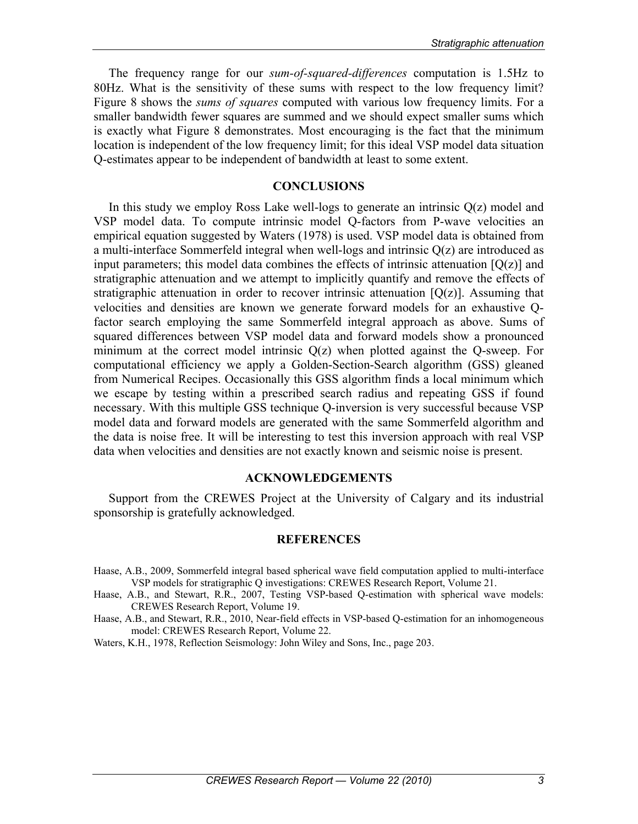The frequency range for our *sum-of-squared-differences* computation is 1.5Hz to 80Hz. What is the sensitivity of these sums with respect to the low frequency limit? Figure 8 shows the *sums of squares* computed with various low frequency limits. For a smaller bandwidth fewer squares are summed and we should expect smaller sums which is exactly what Figure 8 demonstrates. Most encouraging is the fact that the minimum location is independent of the low frequency limit; for this ideal VSP model data situation Q-estimates appear to be independent of bandwidth at least to some extent.

## **CONCLUSIONS**

In this study we employ Ross Lake well-logs to generate an intrinsic  $O(z)$  model and VSP model data. To compute intrinsic model Q-factors from P-wave velocities an empirical equation suggested by Waters (1978) is used. VSP model data is obtained from a multi-interface Sommerfeld integral when well-logs and intrinsic Q(z) are introduced as input parameters; this model data combines the effects of intrinsic attenuation  $[Q(z)]$  and stratigraphic attenuation and we attempt to implicitly quantify and remove the effects of stratigraphic attenuation in order to recover intrinsic attenuation  $[Q(z)]$ . Assuming that velocities and densities are known we generate forward models for an exhaustive Qfactor search employing the same Sommerfeld integral approach as above. Sums of squared differences between VSP model data and forward models show a pronounced minimum at the correct model intrinsic  $O(z)$  when plotted against the O-sweep. For computational efficiency we apply a Golden-Section-Search algorithm (GSS) gleaned from Numerical Recipes. Occasionally this GSS algorithm finds a local minimum which we escape by testing within a prescribed search radius and repeating GSS if found necessary. With this multiple GSS technique Q-inversion is very successful because VSP model data and forward models are generated with the same Sommerfeld algorithm and the data is noise free. It will be interesting to test this inversion approach with real VSP data when velocities and densities are not exactly known and seismic noise is present.

#### **ACKNOWLEDGEMENTS**

Support from the CREWES Project at the University of Calgary and its industrial sponsorship is gratefully acknowledged.

#### **REFERENCES**

- Haase, A.B., 2009, Sommerfeld integral based spherical wave field computation applied to multi-interface VSP models for stratigraphic Q investigations: CREWES Research Report, Volume 21.
- Haase, A.B., and Stewart, R.R., 2007, Testing VSP-based Q-estimation with spherical wave models: CREWES Research Report, Volume 19.
- Haase, A.B., and Stewart, R.R., 2010, Near-field effects in VSP-based Q-estimation for an inhomogeneous model: CREWES Research Report, Volume 22.
- Waters, K.H., 1978, Reflection Seismology: John Wiley and Sons, Inc., page 203.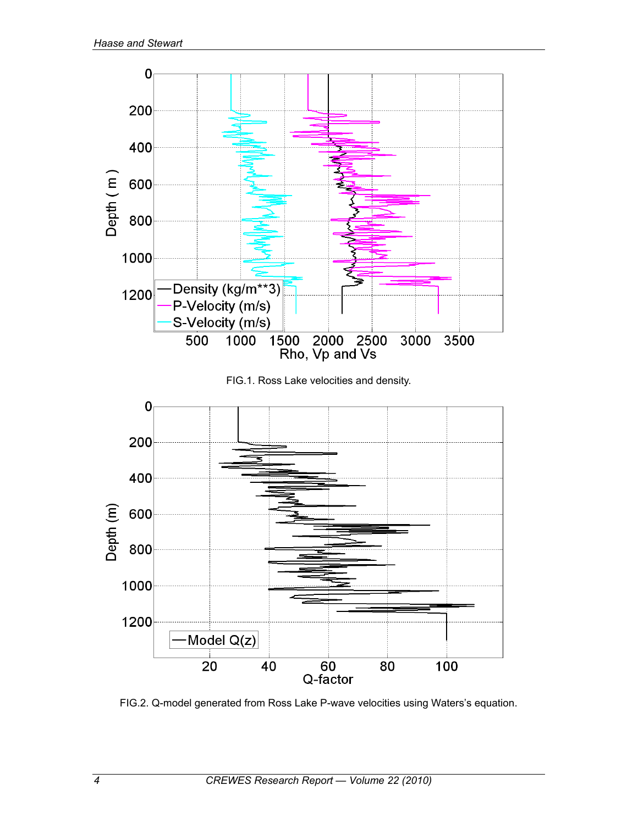

FIG.1. Ross Lake velocities and density.



FIG.2. Q-model generated from Ross Lake P-wave velocities using Waters's equation.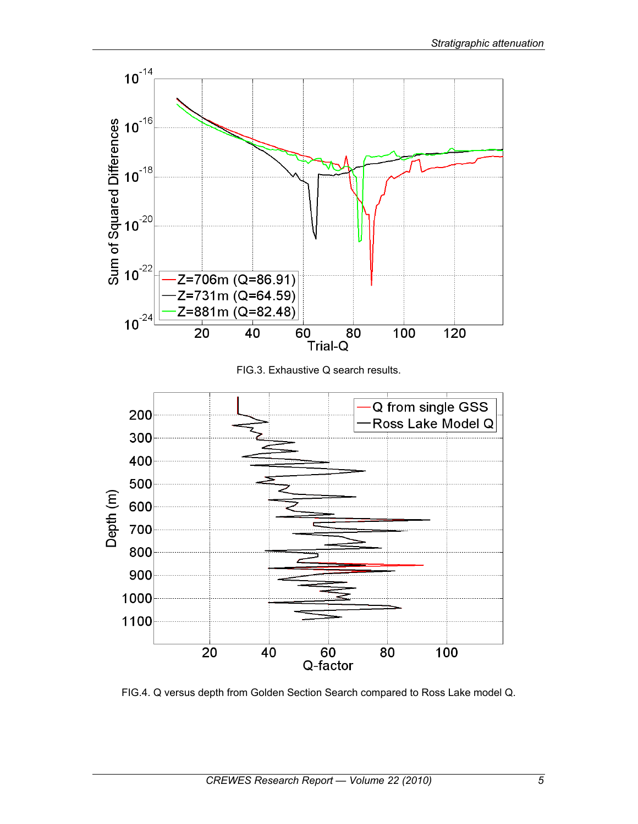

FIG.4. Q versus depth from Golden Section Search compared to Ross Lake model Q.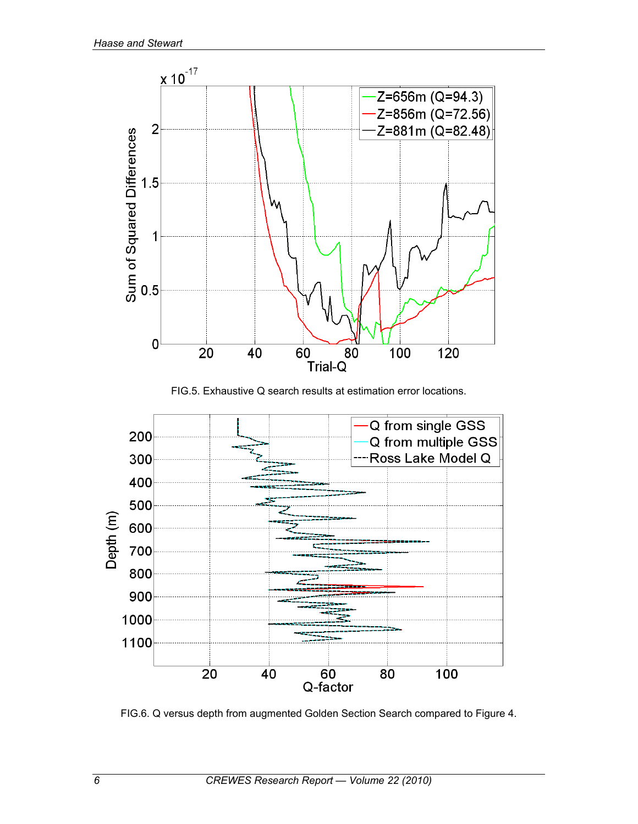

FIG.5. Exhaustive Q search results at estimation error locations.



FIG.6. Q versus depth from augmented Golden Section Search compared to Figure 4.